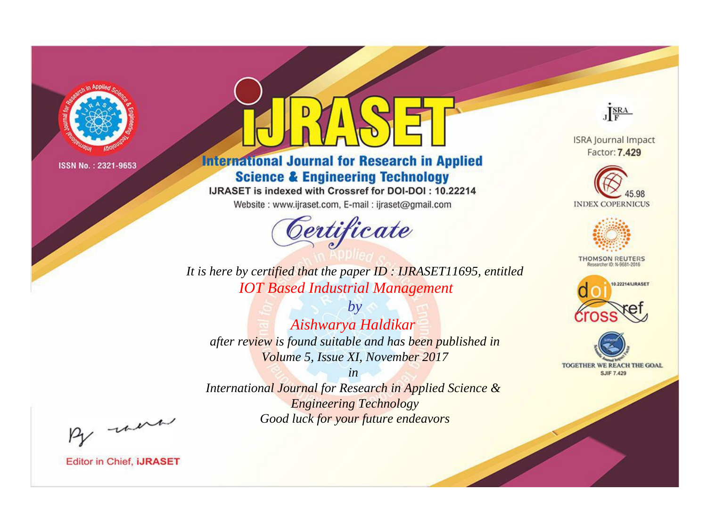

# **International Journal for Research in Applied Science & Engineering Technology**

IJRASET is indexed with Crossref for DOI-DOI: 10.22214

Website: www.ijraset.com, E-mail: ijraset@gmail.com



JERA

**ISRA Journal Impact** Factor: 7.429





**THOMSON REUTERS** 



TOGETHER WE REACH THE GOAL **SJIF 7.429** 

It is here by certified that the paper ID : IJRASET11695, entitled **IOT Based Industrial Management** 

 $by$ Aishwarya Haldikar after review is found suitable and has been published in Volume 5, Issue XI, November 2017

 $in$ International Journal for Research in Applied Science & **Engineering Technology** Good luck for your future endeavors

By morn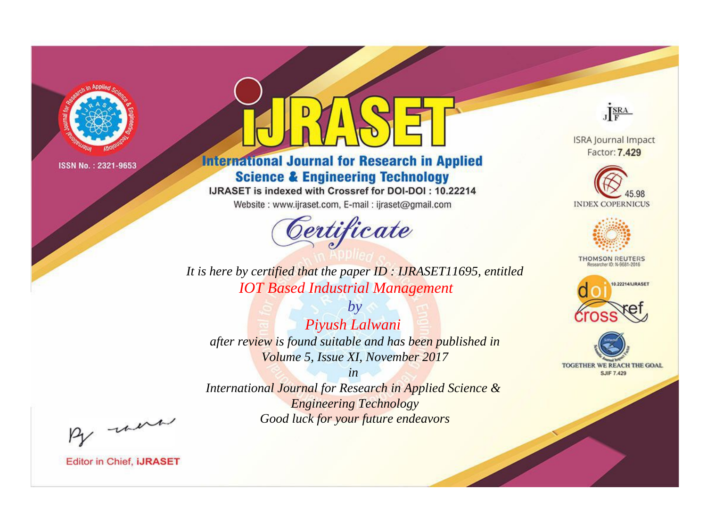

# **International Journal for Research in Applied Science & Engineering Technology**

IJRASET is indexed with Crossref for DOI-DOI: 10.22214

Website: www.ijraset.com, E-mail: ijraset@gmail.com



JERA

**ISRA Journal Impact** Factor: 7.429





**THOMSON REUTERS** 



TOGETHER WE REACH THE GOAL **SJIF 7.429** 

It is here by certified that the paper ID : IJRASET11695, entitled **IOT Based Industrial Management** 

 $by$ Piyush Lalwani after review is found suitable and has been published in Volume 5, Issue XI, November 2017

 $in$ International Journal for Research in Applied Science & **Engineering Technology** Good luck for your future endeavors

By morn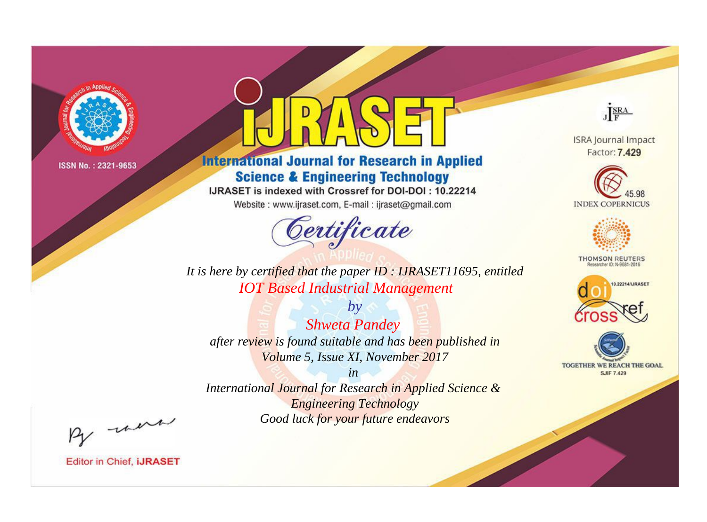

# **International Journal for Research in Applied Science & Engineering Technology**

IJRASET is indexed with Crossref for DOI-DOI: 10.22214

Website: www.ijraset.com, E-mail: ijraset@gmail.com



JERA

**ISRA Journal Impact** Factor: 7.429





**THOMSON REUTERS** 



TOGETHER WE REACH THE GOAL **SJIF 7.429** 

It is here by certified that the paper ID : IJRASET11695, entitled **IOT Based Industrial Management** 

 $by$ **Shweta Pandey** after review is found suitable and has been published in Volume 5, Issue XI, November 2017

 $in$ International Journal for Research in Applied Science & **Engineering Technology** Good luck for your future endeavors

By morn